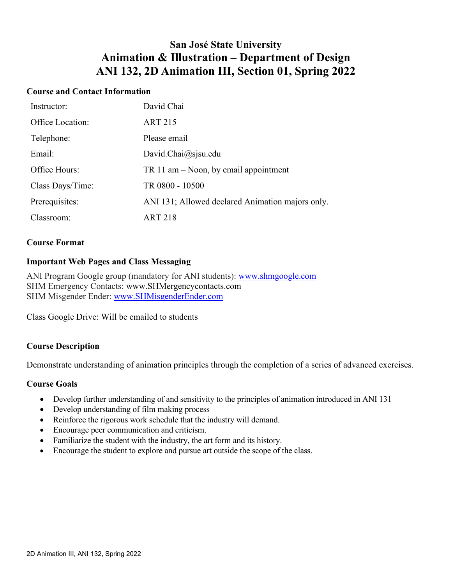## **San José State University Animation & Illustration – Department of Design ANI 132, 2D Animation III, Section 01, Spring 2022**

#### **Course and Contact Information**

| Instructor:      | David Chai                                       |
|------------------|--------------------------------------------------|
| Office Location: | <b>ART 215</b>                                   |
| Telephone:       | Please email                                     |
| Email:           | David.Chai@sjsu.edu                              |
| Office Hours:    | TR 11 am $-$ Noon, by email appointment          |
| Class Days/Time: | TR 0800 - 10500                                  |
| Prerequisites:   | ANI 131; Allowed declared Animation majors only. |
| Classroom:       | ART 218                                          |

#### **Course Format**

#### **Important Web Pages and Class Messaging**

ANI Program Google group (mandatory for ANI students): [www.shmgoogle.com](http://www.shmgoogle.com/) SHM Emergency Contacts: www.SHMergencycontacts.com SHM Misgender Ender: [www.SHMisgenderEnder.com](http://www.shmisgenderender.com/)

Class Google Drive: Will be emailed to students

#### **Course Description**

Demonstrate understanding of animation principles through the completion of a series of advanced exercises.

#### **Course Goals**

- Develop further understanding of and sensitivity to the principles of animation introduced in ANI 131
- Develop understanding of film making process
- Reinforce the rigorous work schedule that the industry will demand.
- Encourage peer communication and criticism.
- Familiarize the student with the industry, the art form and its history.
- Encourage the student to explore and pursue art outside the scope of the class.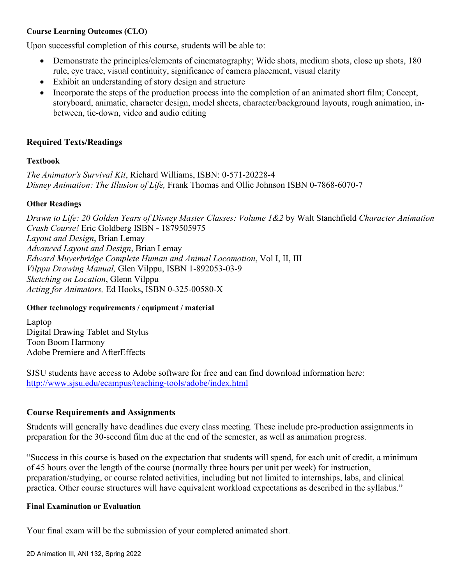#### **Course Learning Outcomes (CLO)**

Upon successful completion of this course, students will be able to:

- Demonstrate the principles/elements of cinematography; Wide shots, medium shots, close up shots, 180 rule, eye trace, visual continuity, significance of camera placement, visual clarity
- Exhibit an understanding of story design and structure
- Incorporate the steps of the production process into the completion of an animated short film; Concept, storyboard, animatic, character design, model sheets, character/background layouts, rough animation, inbetween, tie-down, video and audio editing

## **Required Texts/Readings**

#### **Textbook**

*The Animator's Survival Kit*, Richard Williams, ISBN: 0-571-20228-4 *Disney Animation: The Illusion of Life,* Frank Thomas and Ollie Johnson ISBN 0-7868-6070-7

#### **Other Readings**

*Drawn to Life: 20 Golden Years of Disney Master Classes: Volume 1&2* by Walt Stanchfield *Character Animation Crash Course!* Eric Goldberg ISBN **-** 1879505975 *Layout and Design*, Brian Lemay *Advanced Layout and Design*, Brian Lemay *Edward Muyerbridge Complete Human and Animal Locomotion*, Vol I, II, III *Vilppu Drawing Manual,* Glen Vilppu, ISBN 1-892053-03-9 *Sketching on Location*, Glenn Vilppu *Acting for Animators,* Ed Hooks, ISBN 0-325-00580-X

## **Other technology requirements / equipment / material**

Laptop Digital Drawing Tablet and Stylus Toon Boom Harmony Adobe Premiere and AfterEffects

SJSU students have access to Adobe software for free and can find download information here: <http://www.sjsu.edu/ecampus/teaching-tools/adobe/index.html>

## **Course Requirements and Assignments**

Students will generally have deadlines due every class meeting. These include pre-production assignments in preparation for the 30-second film due at the end of the semester, as well as animation progress.

"Success in this course is based on the expectation that students will spend, for each unit of credit, a minimum of 45 hours over the length of the course (normally three hours per unit per week) for instruction, preparation/studying, or course related activities, including but not limited to internships, labs, and clinical practica. Other course structures will have equivalent workload expectations as described in the syllabus."

#### **Final Examination or Evaluation**

Your final exam will be the submission of your completed animated short.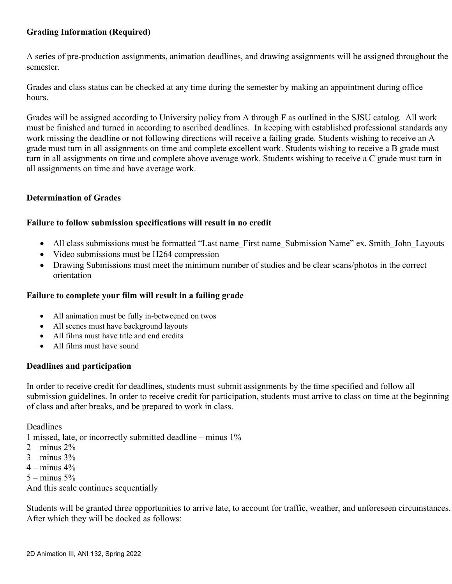## **Grading Information (Required)**

A series of pre-production assignments, animation deadlines, and drawing assignments will be assigned throughout the semester.

Grades and class status can be checked at any time during the semester by making an appointment during office hours.

Grades will be assigned according to University policy from A through F as outlined in the SJSU catalog. All work must be finished and turned in according to ascribed deadlines. In keeping with established professional standards any work missing the deadline or not following directions will receive a failing grade. Students wishing to receive an A grade must turn in all assignments on time and complete excellent work. Students wishing to receive a B grade must turn in all assignments on time and complete above average work. Students wishing to receive a C grade must turn in all assignments on time and have average work.

#### **Determination of Grades**

#### **Failure to follow submission specifications will result in no credit**

- All class submissions must be formatted "Last name First name Submission Name" ex. Smith John Layouts
- Video submissions must be H264 compression
- Drawing Submissions must meet the minimum number of studies and be clear scans/photos in the correct orientation

### **Failure to complete your film will result in a failing grade**

- All animation must be fully in-betweened on twos
- All scenes must have background layouts
- All films must have title and end credits
- All films must have sound

## **Deadlines and participation**

In order to receive credit for deadlines, students must submit assignments by the time specified and follow all submission guidelines. In order to receive credit for participation, students must arrive to class on time at the beginning of class and after breaks, and be prepared to work in class.

Deadlines

1 missed, late, or incorrectly submitted deadline – minus 1%

- $2 \text{minus } 2\%$
- $3 -$  minus  $3\%$
- $4 -$  minus  $4\%$
- $5 -$  minus  $5%$

And this scale continues sequentially

Students will be granted three opportunities to arrive late, to account for traffic, weather, and unforeseen circumstances. After which they will be docked as follows: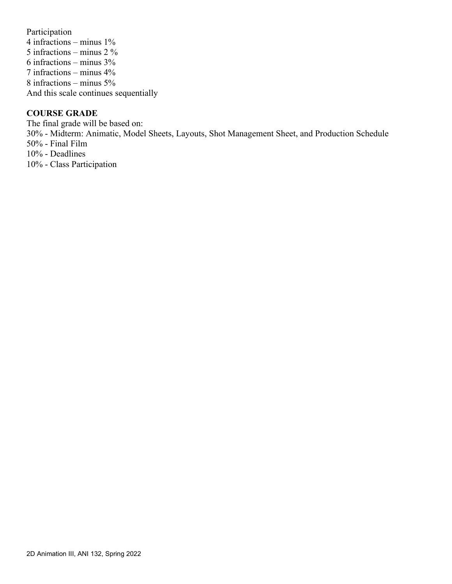Participation 4 infractions – minus 1% 5 infractions – minus 2 % 6 infractions – minus 3% 7 infractions – minus 4% 8 infractions – minus 5% And this scale continues sequentially

#### **COURSE GRADE**

The final grade will be based on: 30% - Midterm: Animatic, Model Sheets, Layouts, Shot Management Sheet, and Production Schedule 50% - Final Film 10% - Deadlines 10% - Class Participation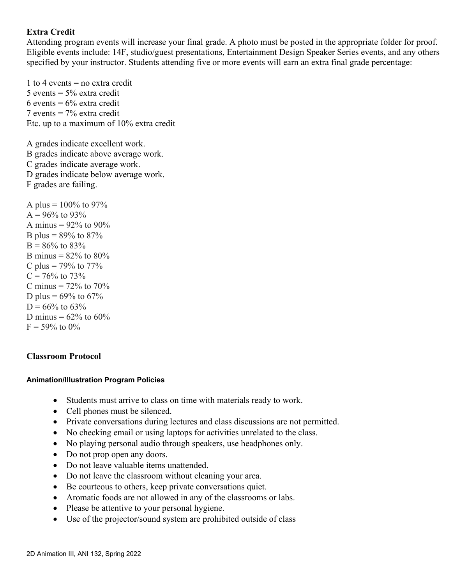## **Extra Credit**

Attending program events will increase your final grade. A photo must be posted in the appropriate folder for proof. Eligible events include: 14F, studio/guest presentations, Entertainment Design Speaker Series events, and any others specified by your instructor. Students attending five or more events will earn an extra final grade percentage:

1 to 4 events  $=$  no extra credit 5 events  $= 5\%$  extra credit 6 events =  $6\%$  extra credit 7 events = 7% extra credit Etc. up to a maximum of 10% extra credit

A grades indicate excellent work. B grades indicate above average work. C grades indicate average work. D grades indicate below average work. F grades are failing.

A plus =  $100\%$  to 97%  $A = 96\%$  to 93% A minus =  $92\%$  to  $90\%$ B plus =  $89\%$  to  $87\%$  $B = 86\%$  to  $83\%$ B minus =  $82\%$  to  $80\%$ C plus =  $79\%$  to  $77\%$  $C = 76\%$  to 73% C minus  $= 72\%$  to  $70\%$ D plus =  $69\%$  to  $67\%$  $D = 66\%$  to 63% D minus =  $62\%$  to  $60\%$  $F = 59\%$  to 0%

## **Classroom Protocol**

#### **Animation/Illustration Program Policies**

- Students must arrive to class on time with materials ready to work.
- Cell phones must be silenced.
- Private conversations during lectures and class discussions are not permitted.
- No checking email or using laptops for activities unrelated to the class.
- No playing personal audio through speakers, use headphones only.
- Do not prop open any doors.
- Do not leave valuable items unattended.
- Do not leave the classroom without cleaning your area.
- Be courteous to others, keep private conversations quiet.
- Aromatic foods are not allowed in any of the classrooms or labs.
- Please be attentive to your personal hygiene.
- Use of the projector/sound system are prohibited outside of class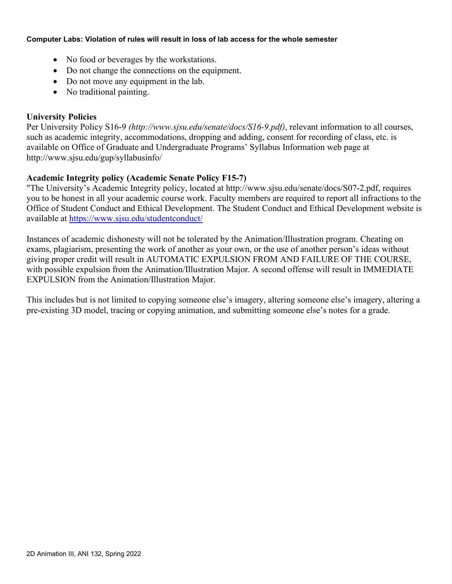#### **Computer Labs: Violation of rules will result in loss of lab access for the whole semester**

- No food or beverages by the workstations.
- Do not change the connections on the equipment.
- Do not move any equipment in the lab.
- No traditional painting.

## **University Policies**

Per University Policy S16-9 *(http://www.sjsu.edu/senate/docs/S16-9.pdf)*, relevant information to all courses, such as academic integrity, accommodations, dropping and adding, consent for recording of class, etc. is available on Office of Graduate and Undergraduate Programs' Syllabus Information web page at http://www.sjsu.edu/gup/syllabusinfo/

## **Academic Integrity policy (Academic Senate Policy F15-7)**

"The University's Academic Integrity policy, located at http://www.sjsu.edu/senate/docs/S07-2.pdf, requires you to be honest in all your academic course work. Faculty members are required to report all infractions to the Office of Student Conduct and Ethical Development. The Student Conduct and Ethical Development website is available at<https://www.sjsu.edu/studentconduct/>

Instances of academic dishonesty will not be tolerated by the Animation/Illustration program. Cheating on exams, plagiarism, presenting the work of another as your own, or the use of another person's ideas without giving proper credit will result in AUTOMATIC EXPULSION FROM AND FAILURE OF THE COURSE, with possible expulsion from the Animation/Illustration Major. A second offense will result in IMMEDIATE EXPULSION from the Animation/Illustration Major.

This includes but is not limited to copying someone else's imagery, altering someone else's imagery, altering a pre-existing 3D model, tracing or copying animation, and submitting someone else's notes for a grade.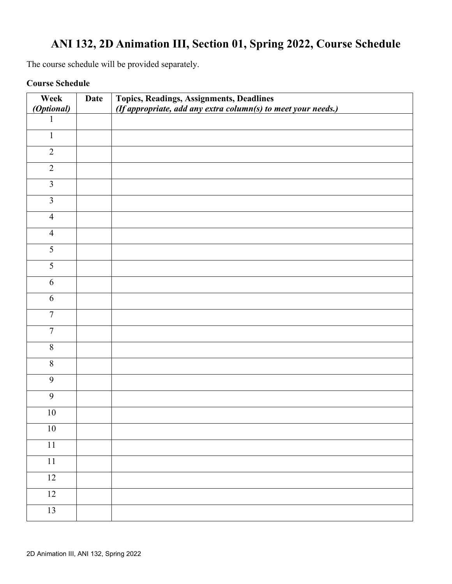# **ANI 132, 2D Animation III, Section 01, Spring 2022, Course Schedule**

The course schedule will be provided separately.

## **Course Schedule**

| Week                    | <b>Date</b> | Topics, Readings, Assignments, Deadlines                      |
|-------------------------|-------------|---------------------------------------------------------------|
| (Optional)              |             | (If appropriate, add any extra column(s) to meet your needs.) |
| 1                       |             |                                                               |
| $\mathbf{1}$            |             |                                                               |
| $\overline{2}$          |             |                                                               |
| $\overline{2}$          |             |                                                               |
| $\overline{\mathbf{3}}$ |             |                                                               |
| $\overline{3}$          |             |                                                               |
| $\overline{4}$          |             |                                                               |
| $\overline{4}$          |             |                                                               |
| $\overline{5}$          |             |                                                               |
| 5                       |             |                                                               |
| 6                       |             |                                                               |
| 6                       |             |                                                               |
| $\tau$                  |             |                                                               |
| $\overline{7}$          |             |                                                               |
| 8                       |             |                                                               |
| $8\,$                   |             |                                                               |
| 9                       |             |                                                               |
| 9                       |             |                                                               |
| $10\,$                  |             |                                                               |
| $10\,$                  |             |                                                               |
| $\overline{11}$         |             |                                                               |
| 11                      |             |                                                               |
| 12                      |             |                                                               |
| 12                      |             |                                                               |
| 13                      |             |                                                               |